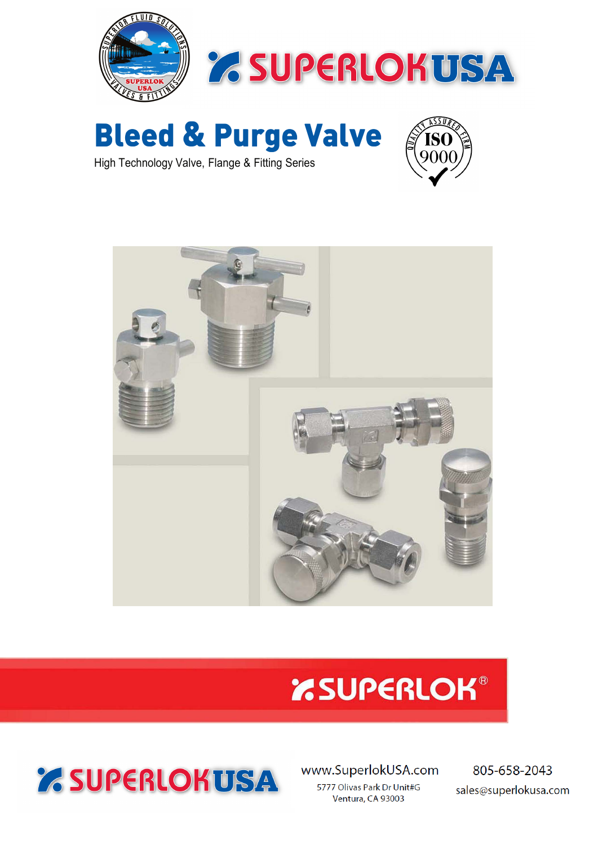



**Bleed & Purge Valve**



High Technology Valve, Flange & Fitting Series



### *'RSUPERLOK®*

www.SuperlokUSA.com 5777 Olivas Park Dr Unit#G Ventura, CA 93003

805-658-2043 sales@superlokusa.com

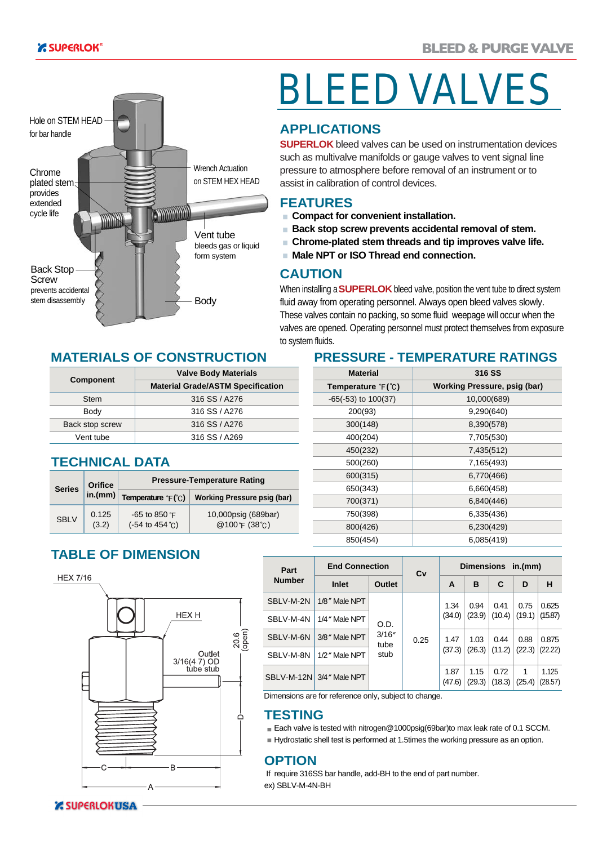

# BLEED VALVES

#### **APPLICATIONS**

**SUPERLOK** bleed valves can be used on instrumentation devices such as multivalve manifolds or gauge valves to vent signal line pressure to atmosphere before removal of an instrument or to assist in calibration of control devices.

#### **FEATURES**

- **Compact for convenient installation.**
- **Back stop screw prevents accidental removal of stem.**
- **Chrome-plated stem threads and tip improves valve life.**  $\overline{\phantom{a}}$
- **Male NPT or ISO Thread end connection.**

#### **CAUTION**

When installing a**SUPERLOK** bleed valve, position the vent tube to direct system fluid away from operating personnel. Always open bleed valves slowly. These valves contain no packing, so some fluid weepage will occur when the valves are opened. Operating personnel must protect themselves from exposure to system fluids.

#### **MATERIALS OF CONSTRUCTION**

|                  | <b>Valve Body Materials</b>              |
|------------------|------------------------------------------|
| <b>Component</b> | <b>Material Grade/ASTM Specification</b> |
| <b>Stem</b>      | 316 SS / A276                            |
| Body             | 316 SS / A276                            |
| Back stop screw  | 316 SS / A276                            |
| Vent tube        | 316 SS / A269                            |

#### **TECHNICAL DATA**

| <b>Series</b> | <b>Orifice</b> | <b>Pressure-Temperature Rating</b>                                        |                                      |  |  |
|---------------|----------------|---------------------------------------------------------------------------|--------------------------------------|--|--|
|               |                | $\lceil$ in.(mm) Temperature $\lceil$ $\lceil$ $\lceil$ $\lceil$ $\lceil$ | <b>Working Pressure psig (bar)</b>   |  |  |
| <b>SBLV</b>   | 0.125<br>(3.2) | $-65$ to 850 $\degree$ F<br>$(-54 \text{ to } 454 \text{°C})$             | 10,000psig (689bar)<br>@100°F (38°C) |  |  |

#### **PRESSURE - TEMPERATURE RATINGS**

| <b>Material</b>            | <b>316 SS</b>                |
|----------------------------|------------------------------|
| <b>Temperature</b> $F("C)$ | Working Pressure, psig (bar) |
| $-65(-53)$ to $100(37)$    | 10,000(689)                  |
| 200(93)                    | 9,290(640)                   |
| 300(148)                   | 8,390(578)                   |
| 400(204)                   | 7,705(530)                   |
| 450(232)                   | 7,435(512)                   |
| 500(260)                   | 7,165(493)                   |
| 600(315)                   | 6,770(466)                   |
| 650(343)                   | 6,660(458)                   |
| 700(371)                   | 6,840(446)                   |
| 750(398)                   | 6,335(436)                   |
| 800(426)                   | 6,230(429)                   |
| 850(454)                   | 6,085(419)                   |

#### **TABLE OF DIMENSION**





| Part          | <b>End Connection</b><br>Cv | <b>Dimensions</b><br>in.(mm)   |  |                |                |                |             |                  |         |         |
|---------------|-----------------------------|--------------------------------|--|----------------|----------------|----------------|-------------|------------------|---------|---------|
| <b>Number</b> | Inlet                       | <b>Outlet</b>                  |  | A              | в              | C              | D           | н                |         |         |
| SBLV-M-2N     | 1/8" Male NPT               |                                |  | 1.34           | 0.94           | 0.41           | 0.75        | 0.625            |         |         |
| SBLV-M-4N     | 1/4" Male NPT               | O.D.<br>3/16''<br>tube<br>stub |  |                |                | (34.0)         | (23.9)      | (10.4)           | (19.1)  | (15.87) |
| SBLV-M-6N     | 3/8" Male NPT               |                                |  |                |                | 0.25           | 1.47        | 1.03             | 0.44    | 0.88    |
| SBLV-M-8N     | 1/2" Male NPT               |                                |  |                | (37.3)         | (26.3)         | (11.2)      | (22.3)           | (22.22) |         |
|               | SBLV-M-12N 3/4" Male NPT    |                                |  | 1.87<br>(47.6) | 1.15<br>(29.3) | 0.72<br>(18.3) | 1<br>(25.4) | 1.125<br>(28.57) |         |         |

Dimensions are for reference only, subject to change.

#### **TESTING**

■ Each valve is tested with nitrogen@1000psig(69bar)to max leak rate of 0.1 SCCM.

Hydrostatic shell test is performed at 1.5times the working pressure as an option.

#### **OPTION**

If require 316SS bar handle, add-BH to the end of part number. ex) SBLV-M-4N-BH

**Z SUPERLOKUSA**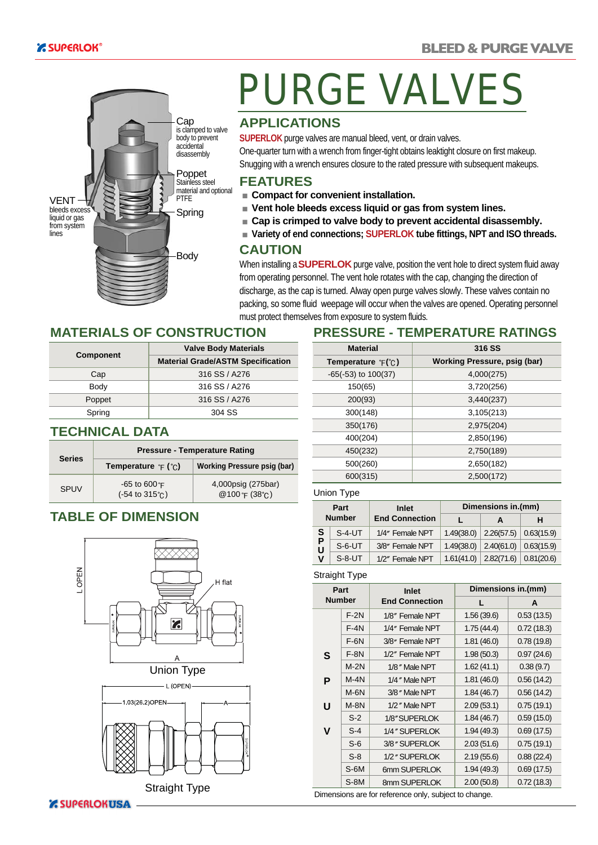

## PURGE VALVES

#### **APPLICATIONS**

**SUPERLOK** purge valves are manual bleed, vent, or drain valves.

One-quarter turn with a wrench from finger-tight obtains leaktight closure on first makeup. Snugging with a wrench ensures closure to the rated pressure with subsequent makeups.

#### **FEATURES**

- **Compact for convenient installation.**
- **Vent hole bleeds excess liquid or gas from system lines.**
- **Cap is crimped to valve body to prevent accidental disassembly.**
- **Variety of end connections; SUPERLOK tube fittings, NPT and ISO threads.**

#### **CAUTION**

When installing a**SUPERLOK** purge valve, position the vent hole to direct system fluid away from operating personnel. The vent hole rotates with the cap, changing the direction of discharge, as the cap is turned. Alway open purge valves slowly. These valves contain no packing, so some fluid weepage will occur when the valves are opened. Operating personnel must protect themselves from exposure to system fluids.

#### **MATERIALS OF CONSTRUCTION**

|                  | <b>Valve Body Materials</b>              |  |
|------------------|------------------------------------------|--|
| <b>Component</b> | <b>Material Grade/ASTM Specification</b> |  |
| Cap              | 316 SS / A276                            |  |
| Body             | 316 SS / A276                            |  |
| Poppet           | 316 SS / A276                            |  |
| Spring           | 304 SS                                   |  |

#### **TECHNICAL DATA**

| <b>Series</b> | <b>Pressure - Temperature Rating</b>                           |                                               |  |  |
|---------------|----------------------------------------------------------------|-----------------------------------------------|--|--|
|               | <b>Temperature</b> $\in$ ( $\in$ )                             | <b>Working Pressure psig (bar)</b>            |  |  |
| <b>SPUV</b>   | $-65$ to $600$ $F$<br>$(-54 \text{ to } 315^{\circ} \text{C})$ | 4,000psig (275bar)<br>@100 F $(38^{\circ}$ C) |  |  |

#### **TABLE OF DIMENSION**





### **PRESSURE - TEMPERATURE RATINGS**

| <b>Material</b>               | 316 SS                       |
|-------------------------------|------------------------------|
| Temperature $\mathbb{F}$ (°C) | Working Pressure, psig (bar) |
| $-65(-53)$ to $100(37)$       | 4,000(275)                   |
| 150(65)                       | 3,720(256)                   |
| 200(93)                       | 3,440(237)                   |
| 300(148)                      | 3,105(213)                   |
| 350(176)                      | 2,975(204)                   |
| 400(204)                      | 2,850(196)                   |
| 450(232)                      | 2,750(189)                   |
| 500(260)                      | 2,650(182)                   |
| 600(315)                      | 2,500(172)                   |

#### Union Type

| Part<br><b>Number</b> |          | <b>Inlet</b>          | Dimensions in.(mm) |            |            |  |
|-----------------------|----------|-----------------------|--------------------|------------|------------|--|
|                       |          | <b>End Connection</b> |                    | A          | н          |  |
| S                     | $S-4-UT$ | 1/4" Female NPT       | 1.49(38.0)         | 2.26(57.5) | 0.63(15.9) |  |
| P<br>Ù                | $S-6-UT$ | 3/8" Female NPT       | 1.49(38.0)         | 2.40(61.0) | 0.63(15.9) |  |
| ٧                     | $S-8-UT$ | 1/2" Female NPT       | 1.61(41.0)         | 2.82(71.6) | 0.81(20.6) |  |

#### Straight Type

|               | Part   | Inlet                                                 | Dimensions in.(mm) |            |  |
|---------------|--------|-------------------------------------------------------|--------------------|------------|--|
| <b>Number</b> |        | <b>End Connection</b>                                 | L                  | A          |  |
|               | $F-2N$ | 1/8" Female NPT                                       | 1.56(39.6)         | 0.53(13.5) |  |
|               | $F-4N$ | 1/4" Female NPT                                       | 1.75(44.4)         | 0.72(18.3) |  |
|               | $F-6N$ | 3/8" Female NPT                                       | 1.81(46.0)         | 0.78(19.8) |  |
| S             | $F-8N$ | 1/2" Female NPT                                       | 1.98(50.3)         | 0.97(24.6) |  |
|               | $M-2N$ | 1/8" Male NPT                                         | 1.62(41.1)         | 0.38(9.7)  |  |
| P             | $M-4N$ | 1/4" Male NPT                                         | 1.81(46.0)         | 0.56(14.2) |  |
|               | $M-6N$ | 3/8" Male NPT                                         | 1.84(46.7)         | 0.56(14.2) |  |
| U             | $M-8N$ | 1/2" Male NPT                                         | 2.09(53.1)         | 0.75(19.1) |  |
|               | $S-2$  | 1/8" SUPERLOK                                         | 1.84(46.7)         | 0.59(15.0) |  |
| v             | $S-4$  | 1/4" SUPERLOK                                         | 1.94(49.3)         | 0.69(17.5) |  |
|               | $S-6$  | 3/8" SUPERLOK                                         | 2.03(51.6)         | 0.75(19.1) |  |
|               | $S-8$  | 1/2" SUPERLOK                                         | 2.19(55.6)         | 0.88(22.4) |  |
|               | $S-6M$ | 6mm SUPERLOK                                          | 1.94(49.3)         | 0.69(17.5) |  |
|               | $S-8M$ | 8mm SUPERLOK                                          | 2.00(50.8)         | 0.72(18.3) |  |
|               |        | Dimensions are for reference only, subject to change. |                    |            |  |